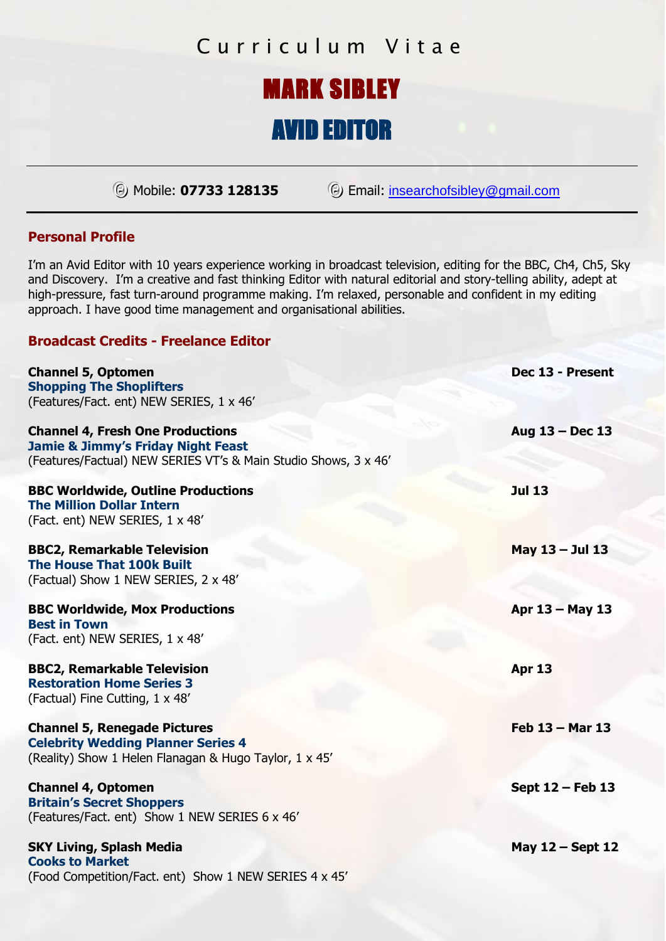# Curriculum Vitae

### MARK SIBLEY l

# AVID EDITOR

ΘMobile: **<sup>07733</sup> <sup>128135</sup>**ΘEmail: insearchofsibley@gmail.com

### **Personal Profile**

I'm an Avid Editor with 10 years experience working in broadcast television, editing for the BBC, Ch4, Ch5, Sky and Discovery. I'm a creative and fast thinking Editor with natural editorial and story-telling ability, adept at high-pressure, fast turn-around programme making. I'm relaxed, personable and confident in my editing approach. I have good time management and organisational abilities.

### **Broadcast Credits - Freelance Editor**

| <b>Channel 5, Optomen</b><br><b>Shopping The Shoplifters</b><br>(Features/Fact. ent) NEW SERIES, 1 x 46'                                                    | Dec 13 - Present   |
|-------------------------------------------------------------------------------------------------------------------------------------------------------------|--------------------|
| <b>Channel 4, Fresh One Productions</b><br><b>Jamie &amp; Jimmy's Friday Night Feast</b><br>(Features/Factual) NEW SERIES VT's & Main Studio Shows, 3 x 46' | Aug 13 - Dec 13    |
| <b>BBC Worldwide, Outline Productions</b><br><b>The Million Dollar Intern</b><br>(Fact. ent) NEW SERIES, 1 x 48'                                            | <b>Jul 13</b>      |
| <b>BBC2, Remarkable Television</b><br><b>The House That 100k Built</b><br>(Factual) Show 1 NEW SERIES, 2 x 48'                                              | May 13 - Jul 13    |
| <b>BBC Worldwide, Mox Productions</b><br><b>Best in Town</b><br>(Fact. ent) NEW SERIES, 1 x 48'                                                             | Apr 13 - May 13    |
| <b>BBC2, Remarkable Television</b><br><b>Restoration Home Series 3</b><br>(Factual) Fine Cutting, 1 x 48'                                                   | <b>Apr 13</b>      |
| <b>Channel 5, Renegade Pictures</b><br><b>Celebrity Wedding Planner Series 4</b><br>(Reality) Show 1 Helen Flanagan & Hugo Taylor, 1 x 45'                  | Feb 13 - Mar 13    |
| <b>Channel 4, Optomen</b><br><b>Britain's Secret Shoppers</b><br>(Features/Fact. ent) Show 1 NEW SERIES 6 x 46'                                             | Sept 12 - Feb 13   |
| <b>SKY Living, Splash Media</b><br><b>Cooks to Market</b><br>(Food Competition/Fact. ent) Show 1 NEW SERIES 4 x 45'                                         | May $12$ – Sept 12 |